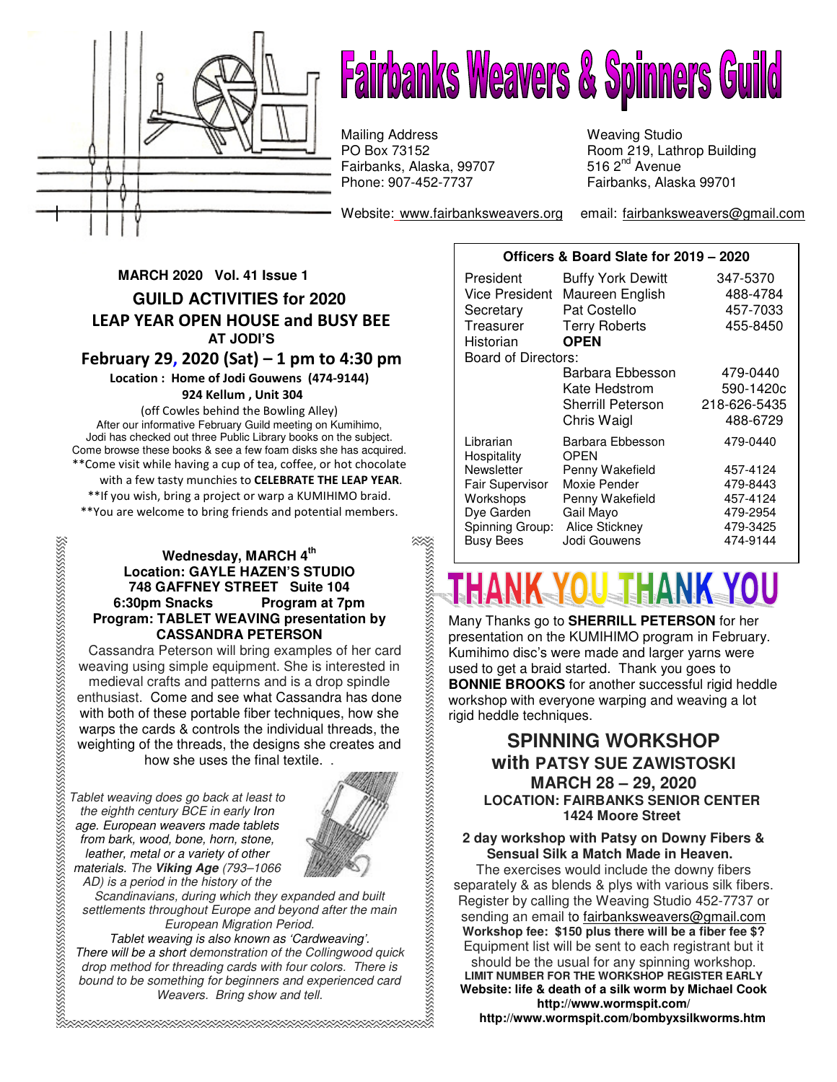

# **Fairbanks Weavers & Spinners Guild**

Fairbanks, Alaska, 99707 **516 2<sup>nd</sup> Avenue** Phone: 907-452-7737 Mailing Address Weaving Studio

Website: www.fairbanksweavers.org email: fairbanksweavers@gmail.com

Room 219, Lathrop Building<br>516  $2<sup>nd</sup>$  Avenue Fairbanks, Alaska 99701

# **MARCH 2020 Vol. 41 Issue 1 GUILD ACTIVITIES for 2020**  LEAP YEAR OPEN HOUSE and BUSY BEE  **AT JODI'S**  February 29, 2020 (Sat) – 1 pm to 4:30 pm Location : Home of Jodi Gouwens (474-9144)

## 924 Kellum , Unit 304

(off Cowles behind the Bowling Alley) After our informative February Guild meeting on Kumihimo, Jodi has checked out three Public Library books on the subject. Come browse these books & see a few foam disks she has acquired. \*\*Come visit while having a cup of tea, coffee, or hot chocolate with a few tasty munchies to CELEBRATE THE LEAP YEAR. \*\*If you wish, bring a project or warp a KUMIHIMO braid. \*\*You are welcome to bring friends and potential members.

# **Wednesday, MARCH 4th Location: GAYLE HAZEN'S STUDIO 748 GAFFNEY STREET Suite 104 6:30pm Snacks Program at 7pm Program: TABLET WEAVING presentation by CASSANDRA PETERSON**

Cassandra Peterson will bring examples of her card weaving using simple equipment. She is interested in medieval crafts and patterns and is a drop spindle enthusiast.Come and see what Cassandra has done with both of these portable fiber techniques, how she warps the cards & controls the individual threads, the weighting of the threads, the designs she creates and how she uses the final textile. .

Tablet weaving does go back at least to the eighth century BCE in early Iron age. European weavers made tablets from bark, wood, bone, horn, stone, leather, metal or a variety of other materials. The **Viking Age** (793–1066 AD) is a period in the history of the



Scandinavians, during which they expanded and built settlements throughout Europe and beyond after the main European Migration Period.

Tablet weaving is also known as 'Cardweaving'. There will be a short demonstration of the Collingwood quick drop method for threading cards with four colors. There is bound to be something for beginners and experienced card Weavers. Bring show and tell.

| Officers & Board Slate for 2019 - 2020 |                                |                      |
|----------------------------------------|--------------------------------|----------------------|
| President                              | <b>Buffy York Dewitt</b>       | 347-5370             |
| <b>Vice President</b>                  | Maureen English                | 488-4784             |
| Secretary                              | Pat Costello                   | 457-7033             |
| Treasurer                              | <b>Terry Roberts</b>           | 455-8450             |
| Historian                              | <b>OPEN</b>                    |                      |
| Board of Directors:                    |                                |                      |
|                                        | Barbara Ebbesson               | 479-0440             |
|                                        | Kate Hedstrom                  | 590-1420c            |
|                                        | <b>Sherrill Peterson</b>       | 218-626-5435         |
|                                        | Chris Waigl                    | 488-6729             |
| Librarian<br>Hospitality               | Barbara Ebbesson<br>OPEN       | 479-0440             |
| Newsletter                             | Penny Wakefield                | 457-4124             |
| <b>Fair Supervisor</b>                 | Moxie Pender                   | 479-8443             |
| Workshops                              | Penny Wakefield                | 457-4124             |
| Dye Garden                             | Gail Mayo                      | 479-2954             |
| Spinning Group:<br><b>Busy Bees</b>    | Alice Stickney<br>Jodi Gouwens | 479-3425<br>474-9144 |
|                                        |                                |                      |

# s<br>managamenta ing kabupateng kabupaten mengangkan kabupaten mengangkan kabupaten mengangkan kabupaten menjadi me THANK YOU THANK YOU

Many Thanks go to **SHERRILL PETERSON** for her presentation on the KUMIHIMO program in February. Kumihimo disc's were made and larger yarns were used to get a braid started. Thank you goes to **BONNIE BROOKS** for another successful rigid heddle workshop with everyone warping and weaving a lot rigid heddle techniques.

# **SPINNING WORKSHOP with PATSY SUE ZAWISTOSKI MARCH 28 – 29, 2020 LOCATION: FAIRBANKS SENIOR CENTER 1424 Moore Street**

# **2 day workshop with Patsy on Downy Fibers & Sensual Silk a Match Made in Heaven.**

The exercises would include the downy fibers separately & as blends & plys with various silk fibers. Register by calling the Weaving Studio 452-7737 or sending an email to fairbanksweavers@gmail.com **Workshop fee: \$150 plus there will be a fiber fee \$?** Equipment list will be sent to each registrant but it should be the usual for any spinning workshop. **LIMIT NUMBER FOR THE WORKSHOP REGISTER EARLY Website: life & death of a silk worm by Michael Cook http://www.wormspit.com/** 

 **http://www.wormspit.com/bombyxsilkworms.htm**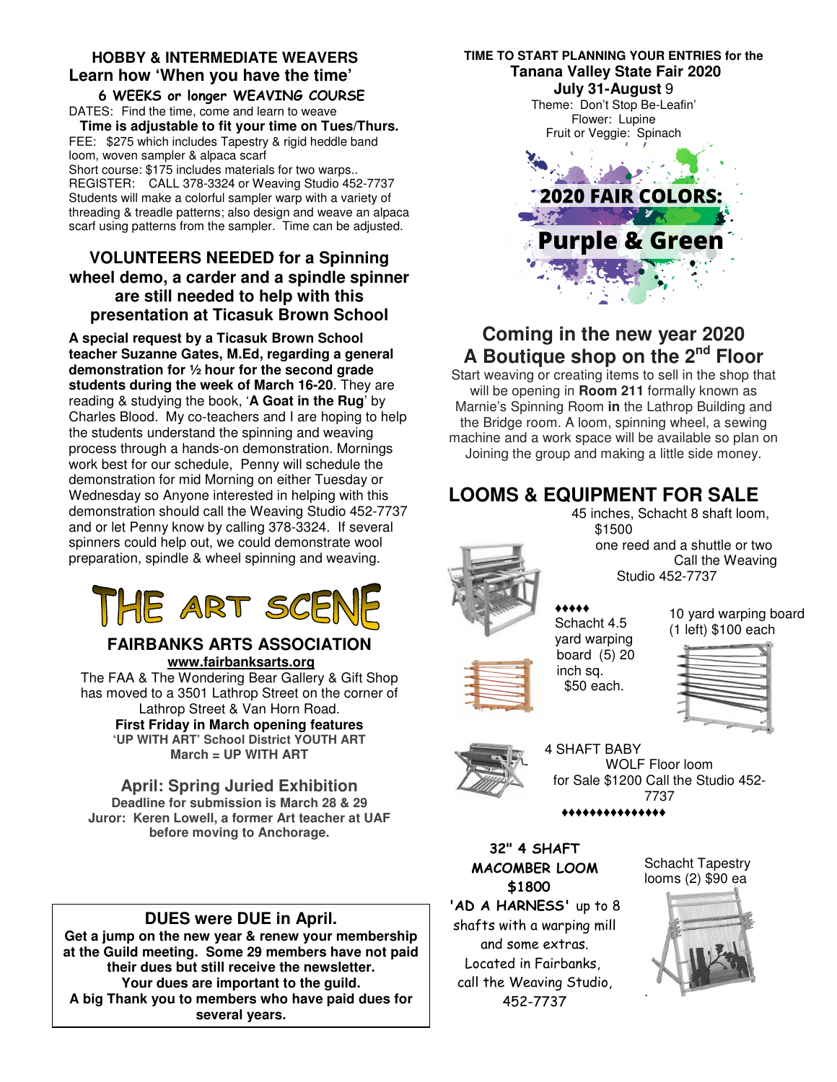# **HOBBY & INTERMEDIATE WEAVERS Learn how 'When you have the time'**

 6 WEEKS or longer WEAVING COURSE DATES: Find the time, come and learn to weave

**Time is adjustable to fit your time on Tues/Thurs.** FEE: \$275 which includes Tapestry & rigid heddle band loom, woven sampler & alpaca scarf

Short course: \$175 includes materials for two warps.. REGISTER: CALL 378-3324 or Weaving Studio 452-7737 Students will make a colorful sampler warp with a variety of threading & treadle patterns; also design and weave an alpaca scarf using patterns from the sampler. Time can be adjusted.

# **VOLUNTEERS NEEDED for a Spinning wheel demo, a carder and a spindle spinner are still needed to help with this presentation at Ticasuk Brown School**

**A special request by a Ticasuk Brown School teacher Suzanne Gates, M.Ed, regarding a general demonstration for ½ hour for the second grade students during the week of March 16-20**. They are reading & studying the book, '**A Goat in the Rug**' by Charles Blood. My co-teachers and I are hoping to help the students understand the spinning and weaving process through a hands-on demonstration. Mornings work best for our schedule, Penny will schedule the demonstration for mid Morning on either Tuesday or Wednesday so Anyone interested in helping with this demonstration should call the Weaving Studio 452-7737 and or let Penny know by calling 378-3324. If several spinners could help out, we could demonstrate wool preparation, spindle & wheel spinning and weaving.

# HE ART SC

# **FAIRBANKS ARTS ASSOCIATION www.fairbanksarts.org**

The FAA & The Wondering Bear Gallery & Gift Shop has moved to a 3501 Lathrop Street on the corner of Lathrop Street & Van Horn Road. **First Friday in March opening features 'UP WITH ART' School District YOUTH ART March = UP WITH ART** 

**April: Spring Juried Exhibition Deadline for submission is March 28 & 29 Juror: Keren Lowell, a former Art teacher at UAF before moving to Anchorage.**

# **DUES were DUE in April.**

**Get a jump on the new year & renew your membership at the Guild meeting. Some 29 members have not paid their dues but still receive the newsletter. Your dues are important to the guild. A big Thank you to members who have paid dues for several years.** 

# **TIME TO START PLANNING YOUR ENTRIES for the Tanana Valley State Fair 2020 July 31-August** 9

Theme: Don't Stop Be-Leafin' Flower: Lupine Fruit or Veggie: Spinach



# **Coming in the new year 2020 A Boutique shop on the 2nd Floor**

Start weaving or creating items to sell in the shop that will be opening in **Room 211** formally known as Marnie's Spinning Room **in** the Lathrop Building and the Bridge room. A loom, spinning wheel, a sewing machine and a work space will be available so plan on Joining the group and making a little side money.

# **LOOMS & EQUIPMENT FOR SALE**



 45 inches, Schacht 8 shaft loom, \$1500 one reed and a shuttle or two Call the Weaving Studio 452-7737

# ♦♦♦♦♦

Schacht 4.5 yard warping board (5) 20 inch sq. \$50 each.

10 yard warping board (1 left) \$100 each





4 SHAFT BABY WOLF Floor loom for Sale \$1200 Call the Studio 452- 7737 ♦♦♦♦♦♦♦♦♦♦♦♦♦♦♦

32" 4 SHAFT MACOMBER LOOM \$1800

'AD A HARNESS' up to 8 shafts with a warping mill and some extras. Located in Fairbanks, call the Weaving Studio, 452-7737